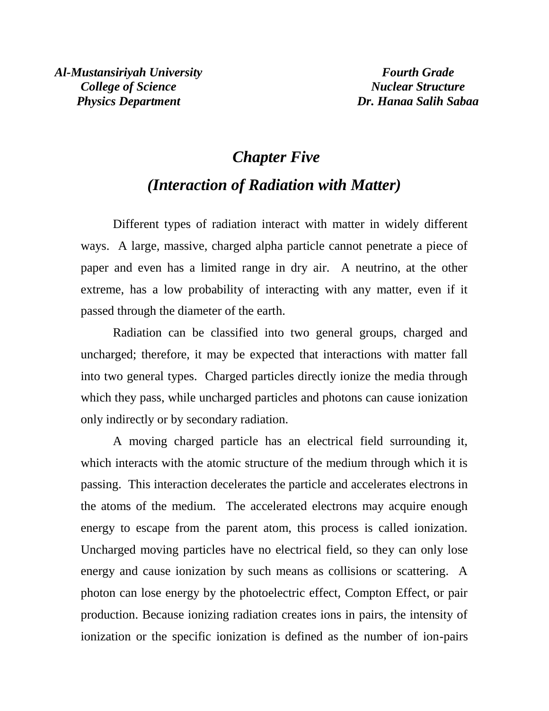# *Chapter Five (Interaction of Radiation with Matter)*

Different types of radiation interact with matter in widely different ways. A large, massive, charged alpha particle cannot penetrate a piece of paper and even has a limited range in dry air. A neutrino, at the other extreme, has a low probability of interacting with any matter, even if it passed through the diameter of the earth.

Radiation can be classified into two general groups, charged and uncharged; therefore, it may be expected that interactions with matter fall into two general types. Charged particles directly ionize the media through which they pass, while uncharged particles and photons can cause ionization only indirectly or by secondary radiation.

A moving charged particle has an electrical field surrounding it, which interacts with the atomic structure of the medium through which it is passing. This interaction decelerates the particle and accelerates electrons in the atoms of the medium. The accelerated electrons may acquire enough energy to escape from the parent atom, this process is called ionization. Uncharged moving particles have no electrical field, so they can only lose energy and cause ionization by such means as collisions or scattering. A photon can lose energy by the photoelectric effect, Compton Effect, or pair production. Because ionizing radiation creates ions in pairs, the intensity of ionization or the specific ionization is defined as the number of ion-pairs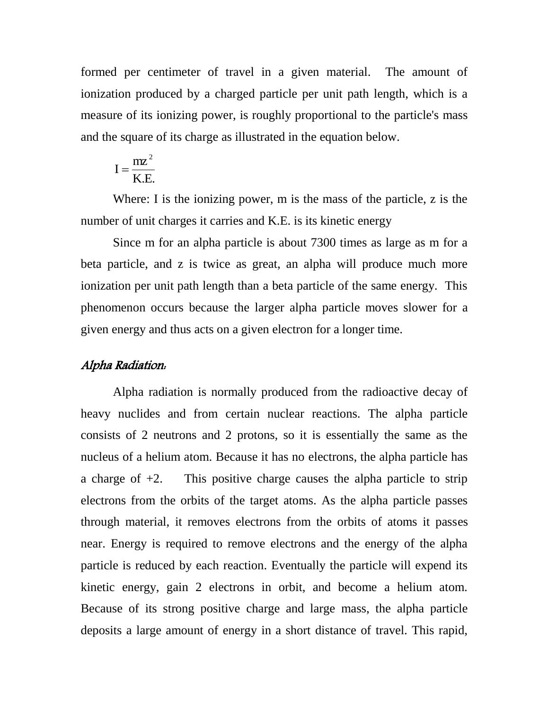formed per centimeter of travel in a given material. The amount of ionization produced by a charged particle per unit path length, which is a measure of its ionizing power, is roughly proportional to the particle's mass and the square of its charge as illustrated in the equation below.

$$
I = \frac{mz^2}{K.E.}
$$

Where: I is the ionizing power, m is the mass of the particle, z is the number of unit charges it carries and K.E. is its kinetic energy

Since m for an alpha particle is about 7300 times as large as m for a beta particle, and z is twice as great, an alpha will produce much more ionization per unit path length than a beta particle of the same energy. This phenomenon occurs because the larger alpha particle moves slower for a given energy and thus acts on a given electron for a longer time.

# Alpha Radiation:

Alpha radiation is normally produced from the radioactive decay of heavy nuclides and from certain nuclear reactions. The alpha particle consists of 2 neutrons and 2 protons, so it is essentially the same as the nucleus of a helium atom. Because it has no electrons, the alpha particle has a charge of  $+2$ . This positive charge causes the alpha particle to strip electrons from the orbits of the target atoms. As the alpha particle passes through material, it removes electrons from the orbits of atoms it passes near. Energy is required to remove electrons and the energy of the alpha particle is reduced by each reaction. Eventually the particle will expend its kinetic energy, gain 2 electrons in orbit, and become a helium atom. Because of its strong positive charge and large mass, the alpha particle deposits a large amount of energy in a short distance of travel. This rapid,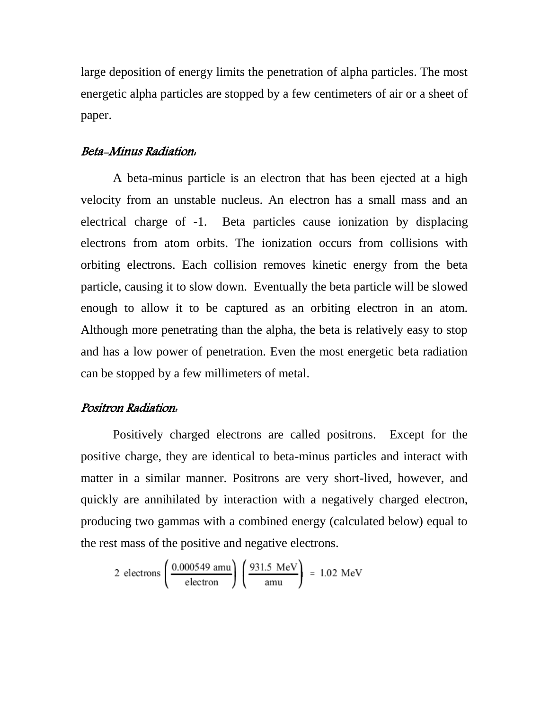large deposition of energy limits the penetration of alpha particles. The most energetic alpha particles are stopped by a few centimeters of air or a sheet of paper.

#### Beta-Minus Radiation:

A beta-minus particle is an electron that has been ejected at a high velocity from an unstable nucleus. An electron has a small mass and an electrical charge of -1. Beta particles cause ionization by displacing electrons from atom orbits. The ionization occurs from collisions with orbiting electrons. Each collision removes kinetic energy from the beta particle, causing it to slow down. Eventually the beta particle will be slowed enough to allow it to be captured as an orbiting electron in an atom. Although more penetrating than the alpha, the beta is relatively easy to stop and has a low power of penetration. Even the most energetic beta radiation can be stopped by a few millimeters of metal.

#### Positron Radiation:

Positively charged electrons are called positrons. Except for the positive charge, they are identical to beta-minus particles and interact with matter in a similar manner. Positrons are very short-lived, however, and quickly are annihilated by interaction with a negatively charged electron, producing two gammas with a combined energy (calculated below) equal to the rest mass of the positive and negative electrons.

$$
2 \text{ electrons} \left( \frac{0.000549 \text{ amu}}{\text{electron}} \right) \left( \frac{931.5 \text{ MeV}}{\text{amu}} \right) = 1.02 \text{ MeV}
$$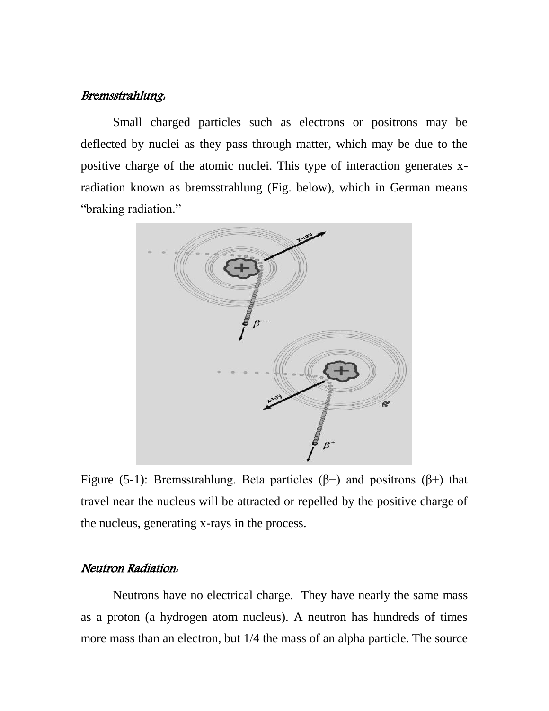## Bremsstrahlung:

Small charged particles such as electrons or positrons may be deflected by nuclei as they pass through matter, which may be due to the positive charge of the atomic nuclei. This type of interaction generates xradiation known as bremsstrahlung (Fig. below), which in German means "braking radiation."



Figure (5-1): Bremsstrahlung. Beta particles ( $\beta$ -) and positrons ( $\beta$ +) that travel near the nucleus will be attracted or repelled by the positive charge of the nucleus, generating x-rays in the process.

### Neutron Radiation:

Neutrons have no electrical charge. They have nearly the same mass as a proton (a hydrogen atom nucleus). A neutron has hundreds of times more mass than an electron, but 1/4 the mass of an alpha particle. The source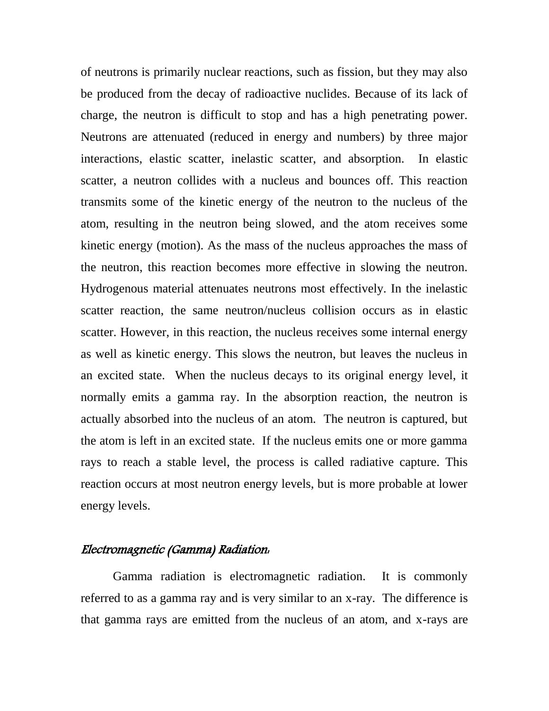of neutrons is primarily nuclear reactions, such as fission, but they may also be produced from the decay of radioactive nuclides. Because of its lack of charge, the neutron is difficult to stop and has a high penetrating power. Neutrons are attenuated (reduced in energy and numbers) by three major interactions, elastic scatter, inelastic scatter, and absorption. In elastic scatter, a neutron collides with a nucleus and bounces off. This reaction transmits some of the kinetic energy of the neutron to the nucleus of the atom, resulting in the neutron being slowed, and the atom receives some kinetic energy (motion). As the mass of the nucleus approaches the mass of the neutron, this reaction becomes more effective in slowing the neutron. Hydrogenous material attenuates neutrons most effectively. In the inelastic scatter reaction, the same neutron/nucleus collision occurs as in elastic scatter. However, in this reaction, the nucleus receives some internal energy as well as kinetic energy. This slows the neutron, but leaves the nucleus in an excited state. When the nucleus decays to its original energy level, it normally emits a gamma ray. In the absorption reaction, the neutron is actually absorbed into the nucleus of an atom. The neutron is captured, but the atom is left in an excited state. If the nucleus emits one or more gamma rays to reach a stable level, the process is called radiative capture. This reaction occurs at most neutron energy levels, but is more probable at lower energy levels.

## Electromagnetic (Gamma) Radiation:

Gamma radiation is electromagnetic radiation. It is commonly referred to as a gamma ray and is very similar to an x-ray. The difference is that gamma rays are emitted from the nucleus of an atom, and x-rays are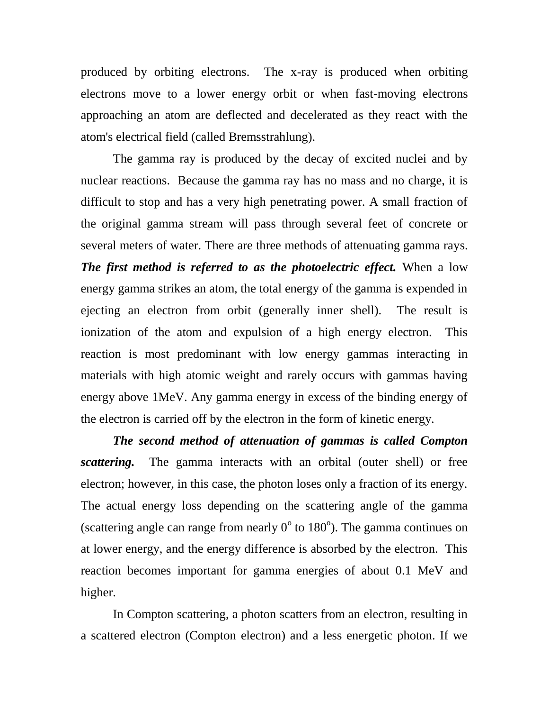produced by orbiting electrons. The x-ray is produced when orbiting electrons move to a lower energy orbit or when fast-moving electrons approaching an atom are deflected and decelerated as they react with the atom's electrical field (called Bremsstrahlung).

The gamma ray is produced by the decay of excited nuclei and by nuclear reactions. Because the gamma ray has no mass and no charge, it is difficult to stop and has a very high penetrating power. A small fraction of the original gamma stream will pass through several feet of concrete or several meters of water. There are three methods of attenuating gamma rays. *The first method is referred to as the photoelectric effect.* When a low energy gamma strikes an atom, the total energy of the gamma is expended in ejecting an electron from orbit (generally inner shell). The result is ionization of the atom and expulsion of a high energy electron. This reaction is most predominant with low energy gammas interacting in materials with high atomic weight and rarely occurs with gammas having energy above 1MeV. Any gamma energy in excess of the binding energy of the electron is carried off by the electron in the form of kinetic energy.

*The second method of attenuation of gammas is called Compton scattering.* The gamma interacts with an orbital (outer shell) or free electron; however, in this case, the photon loses only a fraction of its energy. The actual energy loss depending on the scattering angle of the gamma (scattering angle can range from nearly  $0^{\circ}$  to 180 $^{\circ}$ ). The gamma continues on at lower energy, and the energy difference is absorbed by the electron. This reaction becomes important for gamma energies of about 0.1 MeV and higher.

In Compton scattering, a photon scatters from an electron, resulting in a scattered electron (Compton electron) and a less energetic photon. If we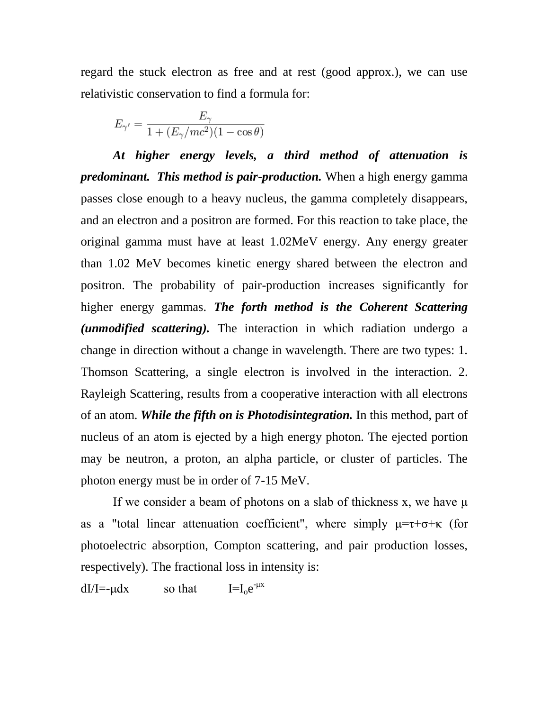regard the stuck electron as free and at rest (good approx.), we can use relativistic conservation to find a formula for:

$$
E_{\gamma'}=\frac{E_{\gamma}}{1+(E_{\gamma}/mc^2)(1-\cos\theta)}
$$

*At higher energy levels, a third method of attenuation is predominant. This method is pair-production.* When a high energy gamma passes close enough to a heavy nucleus, the gamma completely disappears, and an electron and a positron are formed. For this reaction to take place, the original gamma must have at least 1.02MeV energy. Any energy greater than 1.02 MeV becomes kinetic energy shared between the electron and positron. The probability of pair-production increases significantly for higher energy gammas. *The forth method is the Coherent Scattering (unmodified scattering).* The interaction in which radiation undergo a change in direction without a change in wavelength. There are two types: 1. Thomson Scattering, a single electron is involved in the interaction. 2. Rayleigh Scattering, results from a cooperative interaction with all electrons of an atom. *While the fifth on is Photodisintegration.* In this method, part of nucleus of an atom is ejected by a high energy photon. The ejected portion may be neutron, a proton, an alpha particle, or cluster of particles. The photon energy must be in order of 7-15 MeV.

If we consider a beam of photons on a slab of thickness x, we have  $\mu$ as a "total linear attenuation coefficient", where simply  $\mu = \tau + \sigma + \kappa$  (for photoelectric absorption, Compton scattering, and pair production losses, respectively). The fractional loss in intensity is:

 $dI/I = -\mu dx$  so that  $I=I_{0}e^{-\mu X}$